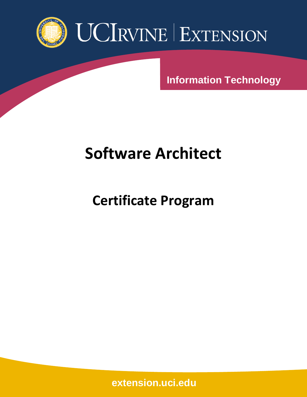

**Information Technology**

# **Software Architect**

**Certificate Program**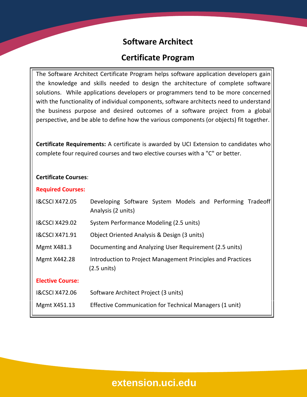## **Software Architect**

## **Certificate Program**

The Software Architect Certificate Program helps software application developers gain the knowledge and skills needed to design the architecture of complete software solutions. While applications developers or programmers tend to be more concerned with the functionality of individual components, software architects need to understand the business purpose and desired outcomes of a software project from a global perspective, and be able to define how the various components (or objects) fit together.

**Certificate Requirements:** A certificate is awarded by UCI Extension to candidates who complete four required courses and two elective courses with a "C" or better.

#### **Certificate Courses**:

#### **Required Courses:**

| <b>I&amp;CSCI X472.05</b> | Developing Software System Models and Performing Tradeoff<br>Analysis (2 units)      |
|---------------------------|--------------------------------------------------------------------------------------|
| 1&CSCI X429.02            | System Performance Modeling (2.5 units)                                              |
| <b>I&amp;CSCI X471.91</b> | Object Oriented Analysis & Design (3 units)                                          |
| <b>Mgmt X481.3</b>        | Documenting and Analyzing User Requirement (2.5 units)                               |
| Mgmt X442.28              | Introduction to Project Management Principles and Practices<br>$(2.5 \text{ units})$ |
| <b>Elective Course:</b>   |                                                                                      |
| <b>I&amp;CSCI X472.06</b> | Software Architect Project (3 units)                                                 |
| Mgmt X451.13              | Effective Communication for Technical Managers (1 unit)                              |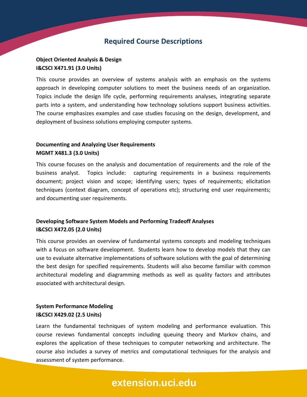### **Required Course Descriptions**

#### **Object Oriented Analysis & Design I&CSCI X471.91 (3.0 Units)**

This course provides an overview of systems analysis with an emphasis on the systems approach in developing computer solutions to meet the business needs of an organization. Topics include the design life cycle, performing requirements analyses, integrating separate parts into a system, and understanding how technology solutions support business activities. The course emphasizes examples and case studies focusing on the design, development, and deployment of business solutions employing computer systems.

#### **Documenting and Analyzing User Requirements MGMT X481.3 (3.0 Units)**

This course focuses on the analysis and documentation of requirements and the role of the business analyst. Topics include: capturing requirements in a business requirements document; project vision and scope; identifying users; types of requirements; elicitation techniques (context diagram, concept of operations etc); structuring end user requirements; and documenting user requirements.

#### **Developing Software System Models and Performing Tradeoff Analyses I&CSCI X472.05 (2.0 Units)**

This course provides an overview of fundamental systems concepts and modeling techniques with a focus on software development. Students learn how to develop models that they can use to evaluate alternative implementations of software solutions with the goal of determining the best design for specified requirements. Students will also become familiar with common architectural modeling and diagramming methods as well as quality factors and attributes associated with architectural design.

#### **System Performance Modeling I&CSCI X429.02 (2.5 Units)**

Learn the fundamental techniques of system modeling and performance evaluation. This course reviews fundamental concepts including queuing theory and Markov chains, and explores the application of these techniques to computer networking and architecture. The course also includes a survey of metrics and computational techniques for the analysis and assessment of system performance.